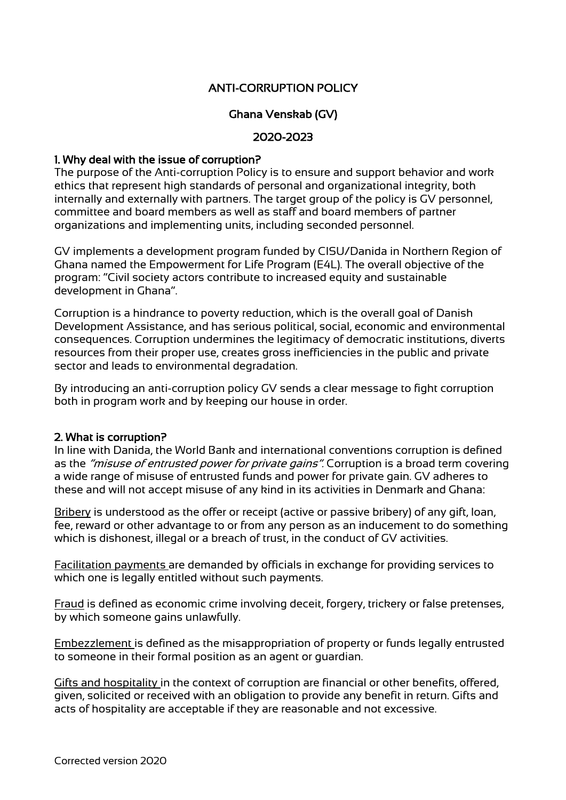# ANTI-CORRUPTION POLICY

# Ghana Venskab (GV)

#### 2020-2023

#### 1. Why deal with the issue of corruption?

The purpose of the Anti-corruption Policy is to ensure and support behavior and work ethics that represent high standards of personal and organizational integrity, both internally and externally with partners. The target group of the policy is GV personnel, committee and board members as well as staff and board members of partner organizations and implementing units, including seconded personnel.

GV implements a development program funded by CISU/Danida in Northern Region of Ghana named the Empowerment for Life Program (E4L). The overall objective of the program: "Civil society actors contribute to increased equity and sustainable development in Ghana".

Corruption is a hindrance to poverty reduction, which is the overall goal of Danish Development Assistance, and has serious political, social, economic and environmental consequences. Corruption undermines the legitimacy of democratic institutions, diverts resources from their proper use, creates gross inefficiencies in the public and private sector and leads to environmental degradation.

By introducing an anti-corruption policy GV sends a clear message to fight corruption both in program work and by keeping our house in order.

#### 2. What is corruption?

In line with Danida, the World Bank and international conventions corruption is defined as the "misuse of entrusted power for private gains". Corruption is a broad term covering a wide range of misuse of entrusted funds and power for private gain. GV adheres to these and will not accept misuse of any kind in its activities in Denmark and Ghana:

Bribery is understood as the offer or receipt (active or passive bribery) of any gift, loan, fee, reward or other advantage to or from any person as an inducement to do something which is dishonest, illegal or a breach of trust, in the conduct of GV activities.

Facilitation payments are demanded by officials in exchange for providing services to which one is legally entitled without such payments.

Fraud is defined as economic crime involving deceit, forgery, trickery or false pretenses, by which someone gains unlawfully.

Embezzlement is defined as the misappropriation of property or funds legally entrusted to someone in their formal position as an agent or guardian.

Gifts and hospitality in the context of corruption are financial or other benefits, offered, given, solicited or received with an obligation to provide any benefit in return. Gifts and acts of hospitality are acceptable if they are reasonable and not excessive.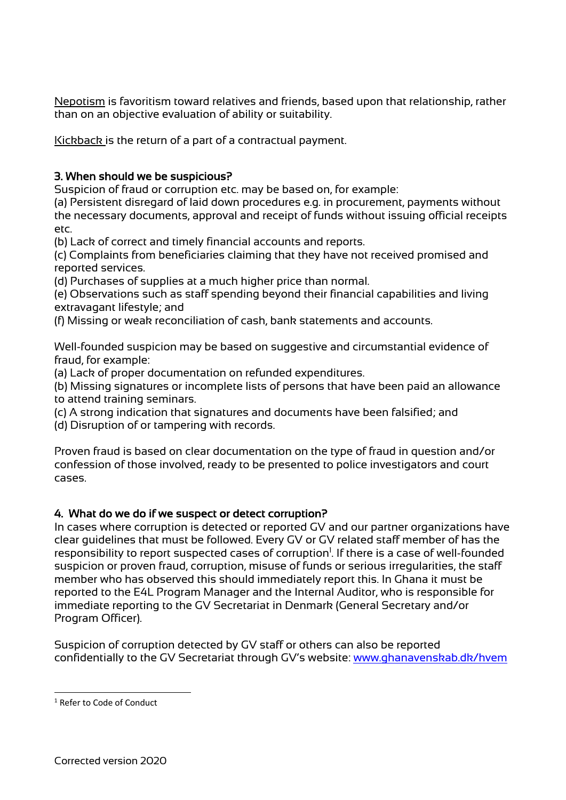Nepotism is favoritism toward relatives and friends, based upon that relationship, rather than on an objective evaluation of ability or suitability.

Kickback is the return of a part of a contractual payment.

### 3. When should we be suspicious?

Suspicion of fraud or corruption etc. may be based on, for example:

(a) Persistent disregard of laid down procedures e.g. in procurement, payments without the necessary documents, approval and receipt of funds without issuing official receipts etc.

(b) Lack of correct and timely financial accounts and reports.

(c) Complaints from beneficiaries claiming that they have not received promised and reported services.

(d) Purchases of supplies at a much higher price than normal.

(e) Observations such as staff spending beyond their financial capabilities and living extravagant lifestyle; and

(f) Missing or weak reconciliation of cash, bank statements and accounts.

Well-founded suspicion may be based on suggestive and circumstantial evidence of fraud, for example:

(a) Lack of proper documentation on refunded expenditures.

(b) Missing signatures or incomplete lists of persons that have been paid an allowance to attend training seminars.

(c) A strong indication that signatures and documents have been falsified; and

(d) Disruption of or tampering with records.

Proven fraud is based on clear documentation on the type of fraud in question and/or confession of those involved, ready to be presented to police investigators and court cases.

#### 4. What do we do if we suspect or detect corruption?

In cases where corruption is detected or reported GV and our partner organizations have clear guidelines that must be followed. Every GV or GV related staff member of has the responsibility to report suspected cases of corruption<sup>1</sup>. If there is a case of well-founded suspicion or proven fraud, corruption, misuse of funds or serious irregularities, the staff member who has observed this should immediately report this. In Ghana it must be reported to the E4L Program Manager and the Internal Auditor, who is responsible for immediate reporting to the GV Secretariat in Denmark (General Secretary and/or Program Officer).

Suspicion of corruption detected by GV staff or others can also be reported confidentially to the GV Secretariat through GV's website: www.ghanavenskab.dk/hvem

<sup>1</sup> Refer to Code of Conduct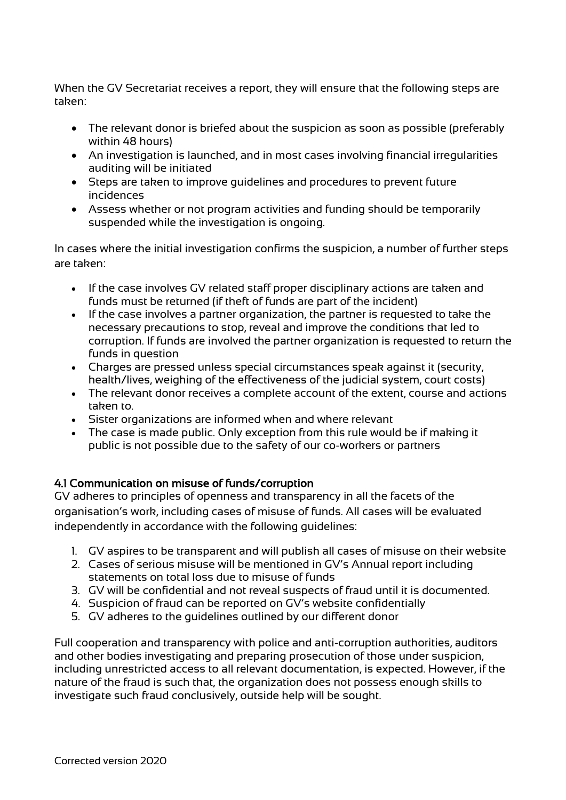When the GV Secretariat receives a report, they will ensure that the following steps are taken:

- The relevant donor is briefed about the suspicion as soon as possible (preferably within 48 hours)
- An investigation is launched, and in most cases involving financial irregularities auditing will be initiated
- Steps are taken to improve guidelines and procedures to prevent future incidences
- Assess whether or not program activities and funding should be temporarily suspended while the investigation is ongoing.

In cases where the initial investigation confirms the suspicion, a number of further steps are taken:

- If the case involves GV related staff proper disciplinary actions are taken and funds must be returned (if theft of funds are part of the incident)
- If the case involves a partner organization, the partner is requested to take the necessary precautions to stop, reveal and improve the conditions that led to corruption. If funds are involved the partner organization is requested to return the funds in question
- Charges are pressed unless special circumstances speak against it (security, health/lives, weighing of the effectiveness of the judicial system, court costs)
- The relevant donor receives a complete account of the extent, course and actions taken to.
- Sister organizations are informed when and where relevant
- The case is made public. Only exception from this rule would be if making it public is not possible due to the safety of our co-workers or partners

### 4.1 Communication on misuse of funds/corruption

GV adheres to principles of openness and transparency in all the facets of the organisation's work, including cases of misuse of funds. All cases will be evaluated independently in accordance with the following guidelines:

- 1. GV aspires to be transparent and will publish all cases of misuse on their website
- 2. Cases of serious misuse will be mentioned in GV's Annual report including statements on total loss due to misuse of funds
- 3. GV will be confidential and not reveal suspects of fraud until it is documented.
- 4. Suspicion of fraud can be reported on GV's website confidentially
- 5. GV adheres to the guidelines outlined by our different donor

Full cooperation and transparency with police and anti-corruption authorities, auditors and other bodies investigating and preparing prosecution of those under suspicion, including unrestricted access to all relevant documentation, is expected. However, if the nature of the fraud is such that, the organization does not possess enough skills to investigate such fraud conclusively, outside help will be sought.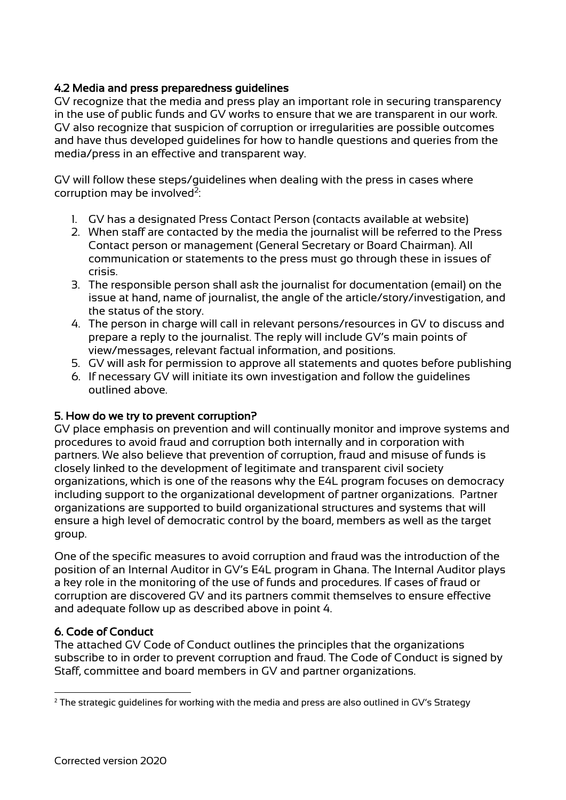### 4.2 Media and press preparedness guidelines

GV recognize that the media and press play an important role in securing transparency in the use of public funds and GV works to ensure that we are transparent in our work. GV also recognize that suspicion of corruption or irregularities are possible outcomes and have thus developed guidelines for how to handle questions and queries from the media/press in an effective and transparent way.

GV will follow these steps/guidelines when dealing with the press in cases where corruption may be involved $2$ :

- 1. GV has a designated Press Contact Person (contacts available at website)
- 2. When staff are contacted by the media the journalist will be referred to the Press Contact person or management (General Secretary or Board Chairman). All communication or statements to the press must go through these in issues of crisis.
- 3. The responsible person shall ask the journalist for documentation (email) on the issue at hand, name of journalist, the angle of the article/story/investigation, and the status of the story.
- 4. The person in charge will call in relevant persons/resources in GV to discuss and prepare a reply to the journalist. The reply will include GV's main points of view/messages, relevant factual information, and positions.
- 5. GV will ask for permission to approve all statements and quotes before publishing
- 6. If necessary GV will initiate its own investigation and follow the guidelines outlined above.

### 5. How do we try to prevent corruption?

GV place emphasis on prevention and will continually monitor and improve systems and procedures to avoid fraud and corruption both internally and in corporation with partners. We also believe that prevention of corruption, fraud and misuse of funds is closely linked to the development of legitimate and transparent civil society organizations, which is one of the reasons why the E4L program focuses on democracy including support to the organizational development of partner organizations. Partner organizations are supported to build organizational structures and systems that will ensure a high level of democratic control by the board, members as well as the target group.

One of the specific measures to avoid corruption and fraud was the introduction of the position of an Internal Auditor in GV's E4L program in Ghana. The Internal Auditor plays a key role in the monitoring of the use of funds and procedures. If cases of fraud or corruption are discovered GV and its partners commit themselves to ensure effective and adequate follow up as described above in point 4.

### 6. Code of Conduct

The attached GV Code of Conduct outlines the principles that the organizations subscribe to in order to prevent corruption and fraud. The Code of Conduct is signed by Staff, committee and board members in GV and partner organizations.

 $2$  The strategic guidelines for working with the media and press are also outlined in GV's Strategy